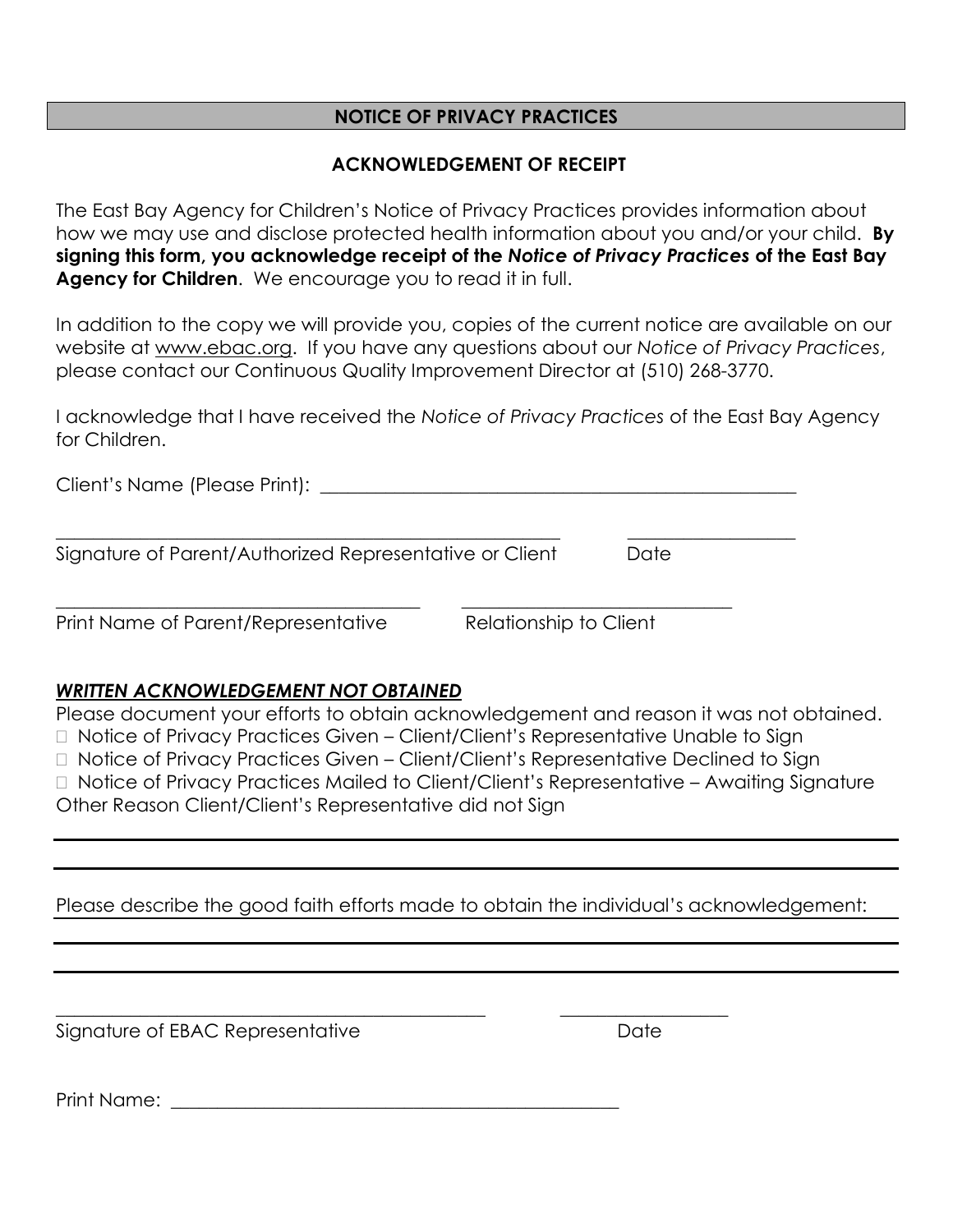#### **NOTICE OF PRIVACY PRACTICES**

#### **ACKNOWLEDGEMENT OF RECEIPT**

The East Bay Agency for Children's Notice of Privacy Practices provides information about how we may use and disclose protected health information about you and/or your child. **By signing this form, you acknowledge receipt of the** *Notice of Privacy Practices* **of the East Bay Agency for Children**. We encourage you to read it in full.

In addition to the copy we will provide you, copies of the current notice are available on our website at [www.ebac.org.](http://www.kidopolis.net/) If you have any questions about our *Notice of Privacy Practices*, please contact our Continuous Quality Improvement Director at (510) 268-3770.

I acknowledge that I have received the *Notice of Privacy Practices* of the East Bay Agency for Children.

| Date |  |
|------|--|
|      |  |

Print Name of Parent/Representative Relationship to Client

#### *WRITTEN ACKNOWLEDGEMENT NOT OBTAINED*

Please document your efforts to obtain acknowledgement and reason it was not obtained. □ Notice of Privacy Practices Given – Client/Client's Representative Unable to Sign Notice of Privacy Practices Given – Client/Client's Representative Declined to Sign □ Notice of Privacy Practices Mailed to Client/Client's Representative – Awaiting Signature Other Reason Client/Client's Representative did not Sign

Please describe the good faith efforts made to obtain the individual's acknowledgement:

 $\_$  , and the set of the set of the set of the set of the set of the set of the set of the set of the set of the set of the set of the set of the set of the set of the set of the set of the set of the set of the set of th

Signature of EBAC Representative and the Contract of Date

Print Name: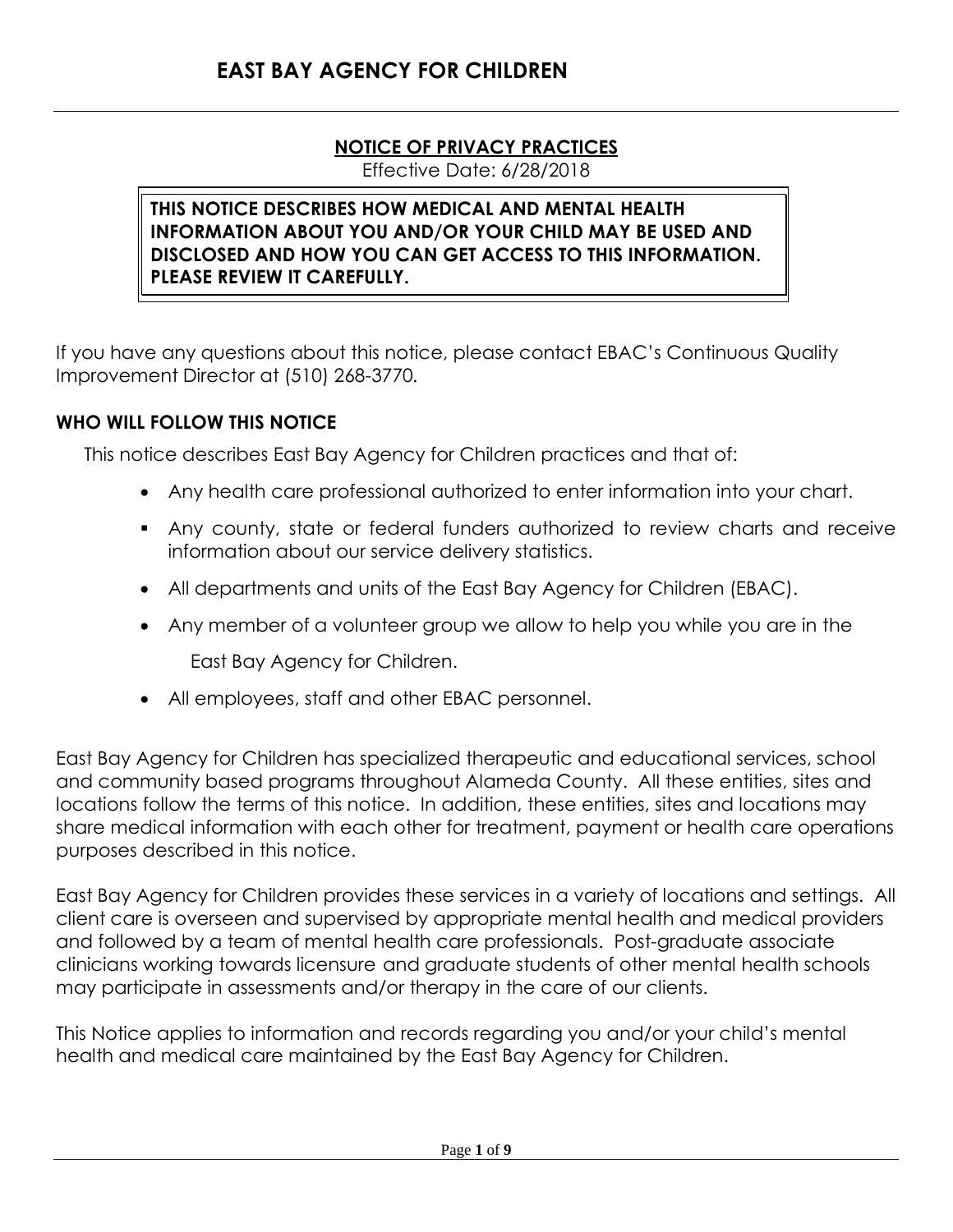### **NOTICE OF PRIVACY PRACTICES**

Effective Date: 6/28/2018

#### **THIS NOTICE DESCRIBES HOW MEDICAL AND MENTAL HEALTH INFORMATION ABOUT YOU AND/OR YOUR CHILD MAY BE USED AND DISCLOSED AND HOW YOU CAN GET ACCESS TO THIS INFORMATION. PLEASE REVIEW IT CAREFULLY.**

If you have any questions about this notice, please contact EBAC's Continuous Quality Improvement Director at (510) 268-3770.

#### **WHO WILL FOLLOW THIS NOTICE**

This notice describes East Bay Agency for Children practices and that of:

- Any health care professional authorized to enter information into your chart.
- Any county, state or federal funders authorized to review charts and receive information about our service delivery statistics.
- All departments and units of the East Bay Agency for Children (EBAC).
- Any member of a volunteer group we allow to help you while you are in the

East Bay Agency for Children.

All employees, staff and other EBAC personnel.

East Bay Agency for Children has specialized therapeutic and educational services, school and community based programs throughout Alameda County. All these entities, sites and locations follow the terms of this notice. In addition, these entities, sites and locations may share medical information with each other for treatment, payment or health care operations purposes described in this notice.

East Bay Agency for Children provides these services in a variety of locations and settings. All client care is overseen and supervised by appropriate mental health and medical providers and followed by a team of mental health care professionals. Post-graduate associate clinicians working towards licensure and graduate students of other mental health schools may participate in assessments and/or therapy in the care of our clients.

This Notice applies to information and records regarding you and/or your child's mental health and medical care maintained by the East Bay Agency for Children.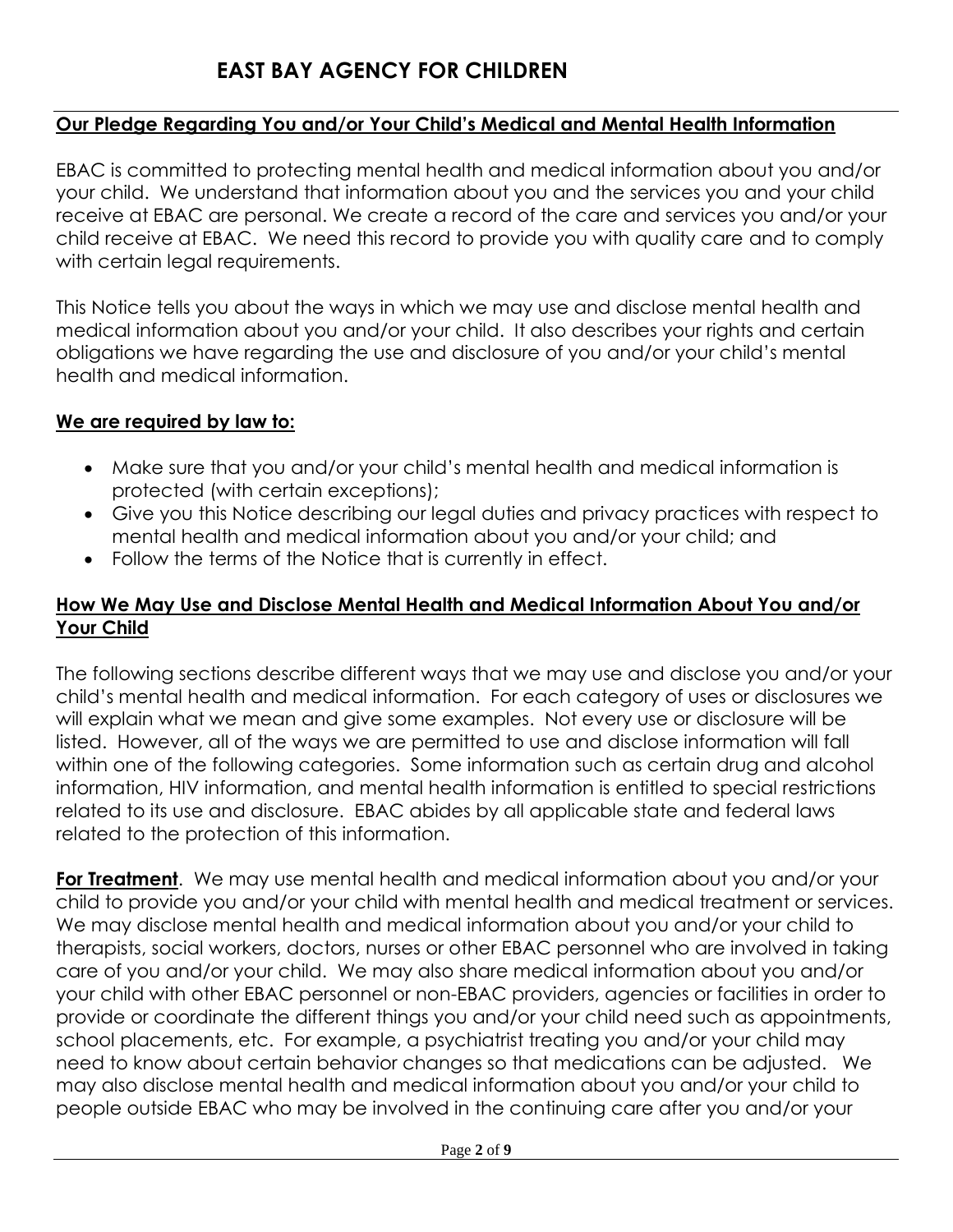#### **Our Pledge Regarding You and/or Your Child's Medical and Mental Health Information**

EBAC is committed to protecting mental health and medical information about you and/or your child. We understand that information about you and the services you and your child receive at EBAC are personal. We create a record of the care and services you and/or your child receive at EBAC. We need this record to provide you with quality care and to comply with certain legal requirements.

This Notice tells you about the ways in which we may use and disclose mental health and medical information about you and/or your child. It also describes your rights and certain obligations we have regarding the use and disclosure of you and/or your child's mental health and medical information.

#### **We are required by law to:**

- Make sure that you and/or your child's mental health and medical information is protected (with certain exceptions);
- Give you this Notice describing our legal duties and privacy practices with respect to mental health and medical information about you and/or your child; and
- Follow the terms of the Notice that is currently in effect.

### **How We May Use and Disclose Mental Health and Medical Information About You and/or Your Child**

The following sections describe different ways that we may use and disclose you and/or your child's mental health and medical information. For each category of uses or disclosures we will explain what we mean and give some examples. Not every use or disclosure will be listed. However, all of the ways we are permitted to use and disclose information will fall within one of the following categories. Some information such as certain drug and alcohol information, HIV information, and mental health information is entitled to special restrictions related to its use and disclosure. EBAC abides by all applicable state and federal laws related to the protection of this information.

**For Treatment**. We may use mental health and medical information about you and/or your child to provide you and/or your child with mental health and medical treatment or services. We may disclose mental health and medical information about you and/or your child to therapists, social workers, doctors, nurses or other EBAC personnel who are involved in taking care of you and/or your child. We may also share medical information about you and/or your child with other EBAC personnel or non-EBAC providers, agencies or facilities in order to provide or coordinate the different things you and/or your child need such as appointments, school placements, etc. For example, a psychiatrist treating you and/or your child may need to know about certain behavior changes so that medications can be adjusted. We may also disclose mental health and medical information about you and/or your child to people outside EBAC who may be involved in the continuing care after you and/or your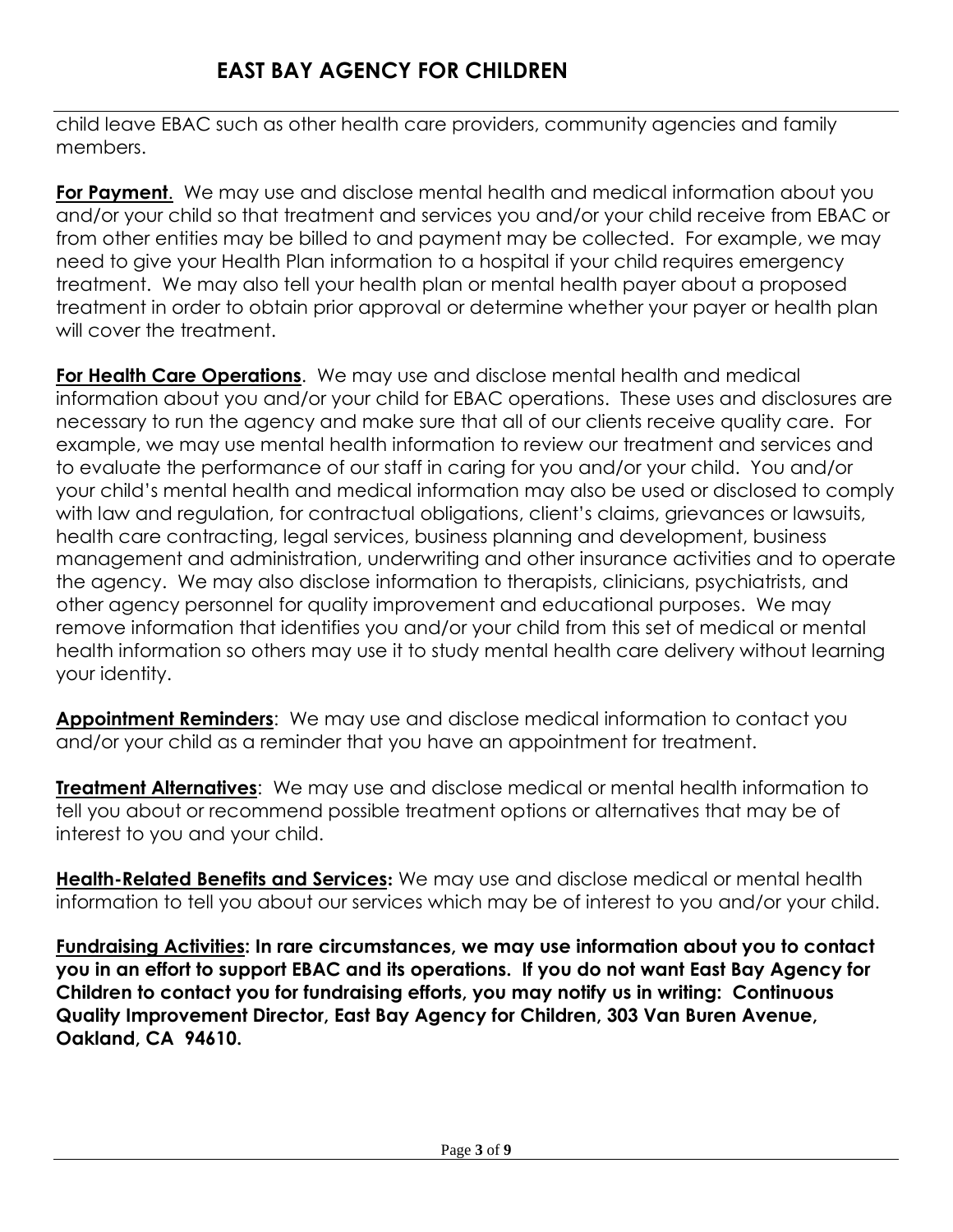child leave EBAC such as other health care providers, community agencies and family members.

**For Payment**. We may use and disclose mental health and medical information about you and/or your child so that treatment and services you and/or your child receive from EBAC or from other entities may be billed to and payment may be collected. For example, we may need to give your Health Plan information to a hospital if your child requires emergency treatment. We may also tell your health plan or mental health payer about a proposed treatment in order to obtain prior approval or determine whether your payer or health plan will cover the treatment.

**For Health Care Operations**. We may use and disclose mental health and medical information about you and/or your child for EBAC operations. These uses and disclosures are necessary to run the agency and make sure that all of our clients receive quality care. For example, we may use mental health information to review our treatment and services and to evaluate the performance of our staff in caring for you and/or your child. You and/or your child's mental health and medical information may also be used or disclosed to comply with law and regulation, for contractual obligations, client's claims, grievances or lawsuits, health care contracting, legal services, business planning and development, business management and administration, underwriting and other insurance activities and to operate the agency. We may also disclose information to therapists, clinicians, psychiatrists, and other agency personnel for quality improvement and educational purposes. We may remove information that identifies you and/or your child from this set of medical or mental health information so others may use it to study mental health care delivery without learning your identity.

**Appointment Reminders**: We may use and disclose medical information to contact you and/or your child as a reminder that you have an appointment for treatment.

**Treatment Alternatives**: We may use and disclose medical or mental health information to tell you about or recommend possible treatment options or alternatives that may be of interest to you and your child.

**Health-Related Benefits and Services:** We may use and disclose medical or mental health information to tell you about our services which may be of interest to you and/or your child.

**Fundraising Activities: In rare circumstances, we may use information about you to contact you in an effort to support EBAC and its operations. If you do not want East Bay Agency for Children to contact you for fundraising efforts, you may notify us in writing: Continuous Quality Improvement Director, East Bay Agency for Children, 303 Van Buren Avenue, Oakland, CA 94610.**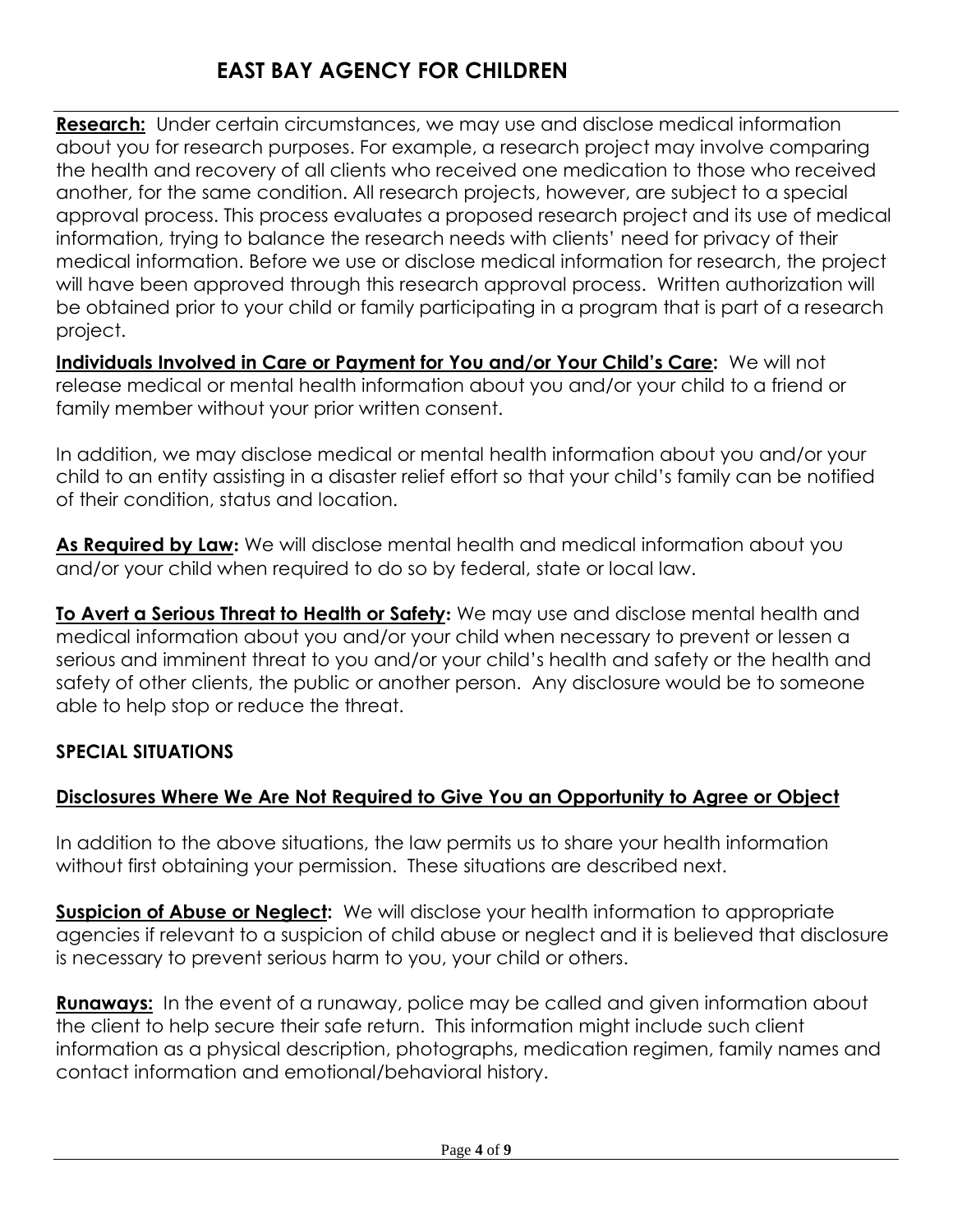# **EAST BAY AGENCY FOR CHILDREN**

**Research:** Under certain circumstances, we may use and disclose medical information about you for research purposes. For example, a research project may involve comparing the health and recovery of all clients who received one medication to those who received another, for the same condition. All research projects, however, are subject to a special approval process. This process evaluates a proposed research project and its use of medical information, trying to balance the research needs with clients' need for privacy of their medical information. Before we use or disclose medical information for research, the project will have been approved through this research approval process. Written authorization will be obtained prior to your child or family participating in a program that is part of a research project.

**Individuals Involved in Care or Payment for You and/or Your Child's Care:** We will not release medical or mental health information about you and/or your child to a friend or family member without your prior written consent.

In addition, we may disclose medical or mental health information about you and/or your child to an entity assisting in a disaster relief effort so that your child's family can be notified of their condition, status and location.

**As Required by Law:** We will disclose mental health and medical information about you and/or your child when required to do so by federal, state or local law.

**To Avert a Serious Threat to Health or Safety:** We may use and disclose mental health and medical information about you and/or your child when necessary to prevent or lessen a serious and imminent threat to you and/or your child's health and safety or the health and safety of other clients, the public or another person. Any disclosure would be to someone able to help stop or reduce the threat.

## **SPECIAL SITUATIONS**

## **Disclosures Where We Are Not Required to Give You an Opportunity to Agree or Object**

In addition to the above situations, the law permits us to share your health information without first obtaining your permission. These situations are described next.

**Suspicion of Abuse or Neglect:** We will disclose your health information to appropriate agencies if relevant to a suspicion of child abuse or neglect and it is believed that disclosure is necessary to prevent serious harm to you, your child or others.

**Runaways:** In the event of a runaway, police may be called and given information about the client to help secure their safe return. This information might include such client information as a physical description, photographs, medication regimen, family names and contact information and emotional/behavioral history.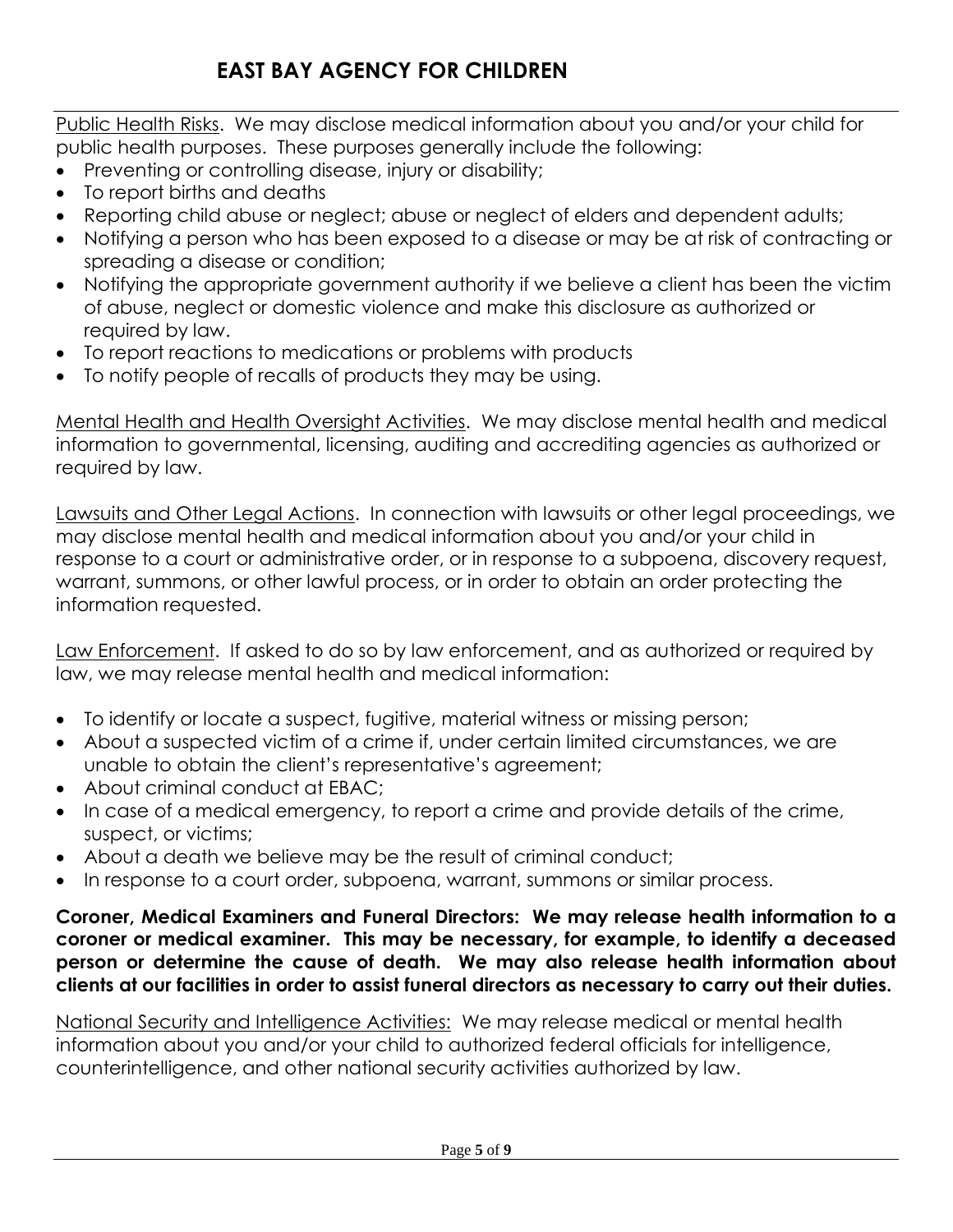Public Health Risks. We may disclose medical information about you and/or your child for public health purposes. These purposes generally include the following:

- Preventing or controlling disease, injury or disability;
- To report births and deaths
- Reporting child abuse or neglect; abuse or neglect of elders and dependent adults;
- Notifying a person who has been exposed to a disease or may be at risk of contracting or spreading a disease or condition;
- Notifying the appropriate government authority if we believe a client has been the victim of abuse, neglect or domestic violence and make this disclosure as authorized or required by law.
- To report reactions to medications or problems with products
- To notify people of recalls of products they may be using.

Mental Health and Health Oversight Activities. We may disclose mental health and medical information to governmental, licensing, auditing and accrediting agencies as authorized or required by law.

Lawsuits and Other Legal Actions. In connection with lawsuits or other legal proceedings, we may disclose mental health and medical information about you and/or your child in response to a court or administrative order, or in response to a subpoena, discovery request, warrant, summons, or other lawful process, or in order to obtain an order protecting the information requested.

Law Enforcement. If asked to do so by law enforcement, and as authorized or required by law, we may release mental health and medical information:

- To identify or locate a suspect, fugitive, material witness or missing person;
- About a suspected victim of a crime if, under certain limited circumstances, we are unable to obtain the client's representative's agreement;
- About criminal conduct at EBAC;
- In case of a medical emergency, to report a crime and provide details of the crime, suspect, or victims;
- About a death we believe may be the result of criminal conduct;
- In response to a court order, subpoena, warrant, summons or similar process.

#### **Coroner, Medical Examiners and Funeral Directors: We may release health information to a coroner or medical examiner. This may be necessary, for example, to identify a deceased person or determine the cause of death. We may also release health information about clients at our facilities in order to assist funeral directors as necessary to carry out their duties.**

National Security and Intelligence Activities: We may release medical or mental health information about you and/or your child to authorized federal officials for intelligence, counterintelligence, and other national security activities authorized by law.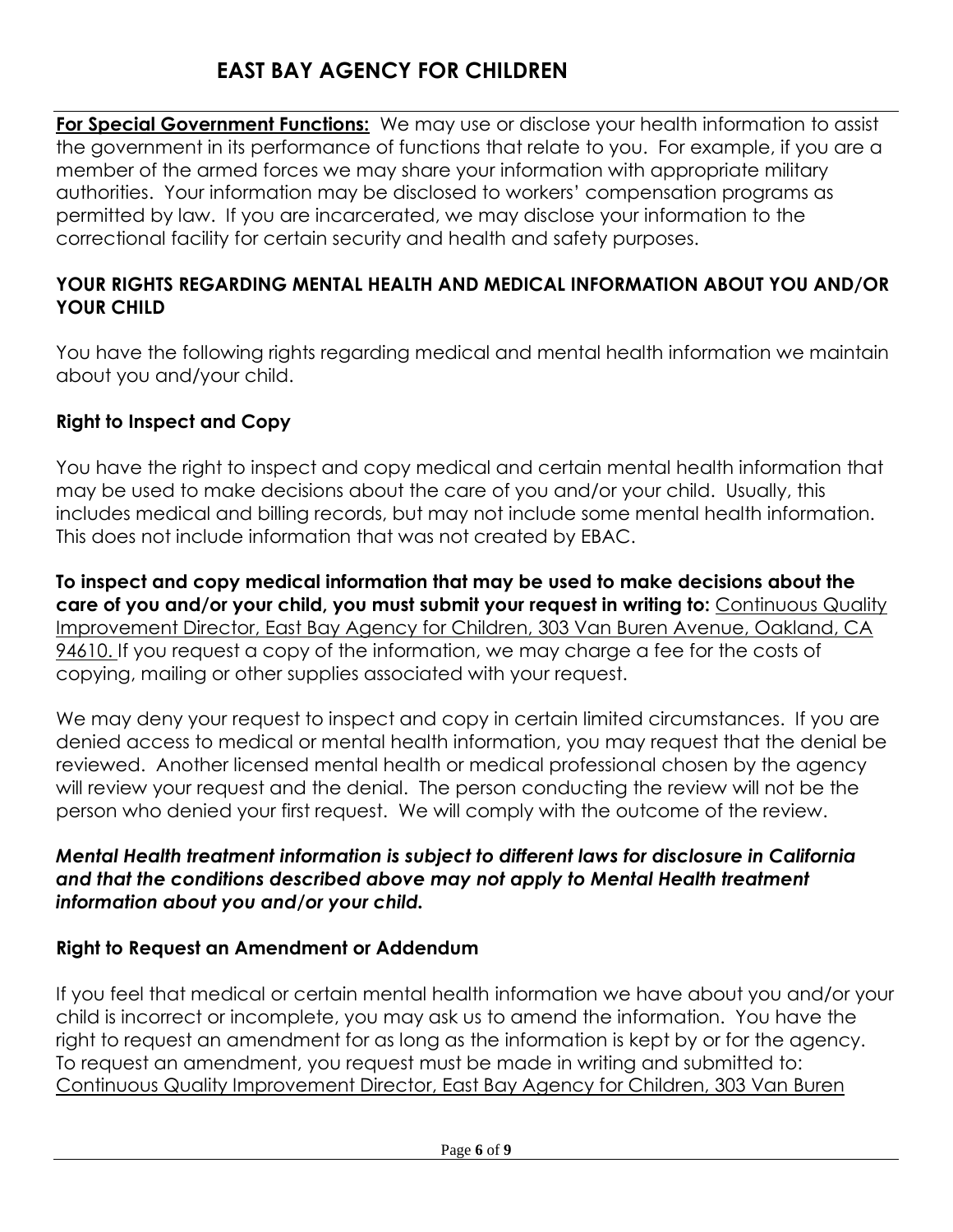# **EAST BAY AGENCY FOR CHILDREN**

**For Special Government Functions:** We may use or disclose your health information to assist the government in its performance of functions that relate to you. For example, if you are a member of the armed forces we may share your information with appropriate military authorities. Your information may be disclosed to workers' compensation programs as permitted by law. If you are incarcerated, we may disclose your information to the correctional facility for certain security and health and safety purposes.

## **YOUR RIGHTS REGARDING MENTAL HEALTH AND MEDICAL INFORMATION ABOUT YOU AND/OR YOUR CHILD**

You have the following rights regarding medical and mental health information we maintain about you and/your child.

## **Right to Inspect and Copy**

You have the right to inspect and copy medical and certain mental health information that may be used to make decisions about the care of you and/or your child. Usually, this includes medical and billing records, but may not include some mental health information. This does not include information that was not created by EBAC.

**To inspect and copy medical information that may be used to make decisions about the care of you and/or your child, you must submit your request in writing to:** Continuous Quality Improvement Director, East Bay Agency for Children, 303 Van Buren Avenue, Oakland, CA 94610. If you request a copy of the information, we may charge a fee for the costs of copying, mailing or other supplies associated with your request.

We may deny your request to inspect and copy in certain limited circumstances. If you are denied access to medical or mental health information, you may request that the denial be reviewed. Another licensed mental health or medical professional chosen by the agency will review your request and the denial. The person conducting the review will not be the person who denied your first request. We will comply with the outcome of the review.

#### *Mental Health treatment information is subject to different laws for disclosure in California and that the conditions described above may not apply to Mental Health treatment information about you and/or your child.*

## **Right to Request an Amendment or Addendum**

If you feel that medical or certain mental health information we have about you and/or your child is incorrect or incomplete, you may ask us to amend the information. You have the right to request an amendment for as long as the information is kept by or for the agency. To request an amendment, you request must be made in writing and submitted to: Continuous Quality Improvement Director, East Bay Agency for Children, 303 Van Buren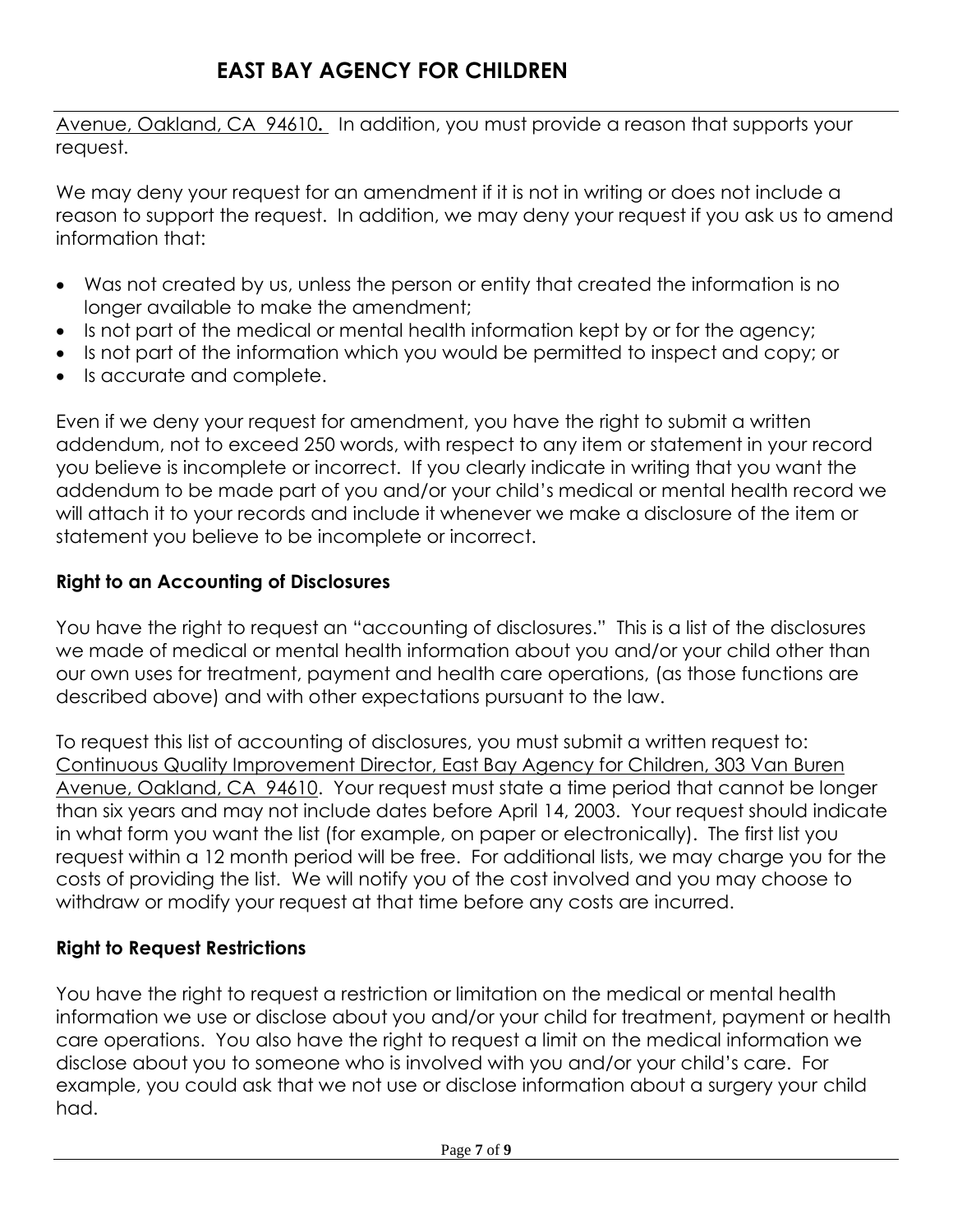# **EAST BAY AGENCY FOR CHILDREN**

Avenue, Oakland, CA 94610**.** In addition, you must provide a reason that supports your request.

We may deny your request for an amendment if it is not in writing or does not include a reason to support the request. In addition, we may deny your request if you ask us to amend information that:

- Was not created by us, unless the person or entity that created the information is no longer available to make the amendment;
- Is not part of the medical or mental health information kept by or for the agency;
- Is not part of the information which you would be permitted to inspect and copy; or
- Is accurate and complete.

Even if we deny your request for amendment, you have the right to submit a written addendum, not to exceed 250 words, with respect to any item or statement in your record you believe is incomplete or incorrect. If you clearly indicate in writing that you want the addendum to be made part of you and/or your child's medical or mental health record we will attach it to your records and include it whenever we make a disclosure of the item or statement you believe to be incomplete or incorrect.

### **Right to an Accounting of Disclosures**

You have the right to request an "accounting of disclosures." This is a list of the disclosures we made of medical or mental health information about you and/or your child other than our own uses for treatment, payment and health care operations, (as those functions are described above) and with other expectations pursuant to the law.

To request this list of accounting of disclosures, you must submit a written request to: Continuous Quality Improvement Director, East Bay Agency for Children, 303 Van Buren Avenue, Oakland, CA 94610. Your request must state a time period that cannot be longer than six years and may not include dates before April 14, 2003. Your request should indicate in what form you want the list (for example, on paper or electronically). The first list you request within a 12 month period will be free. For additional lists, we may charge you for the costs of providing the list. We will notify you of the cost involved and you may choose to withdraw or modify your request at that time before any costs are incurred.

## **Right to Request Restrictions**

You have the right to request a restriction or limitation on the medical or mental health information we use or disclose about you and/or your child for treatment, payment or health care operations. You also have the right to request a limit on the medical information we disclose about you to someone who is involved with you and/or your child's care. For example, you could ask that we not use or disclose information about a surgery your child had.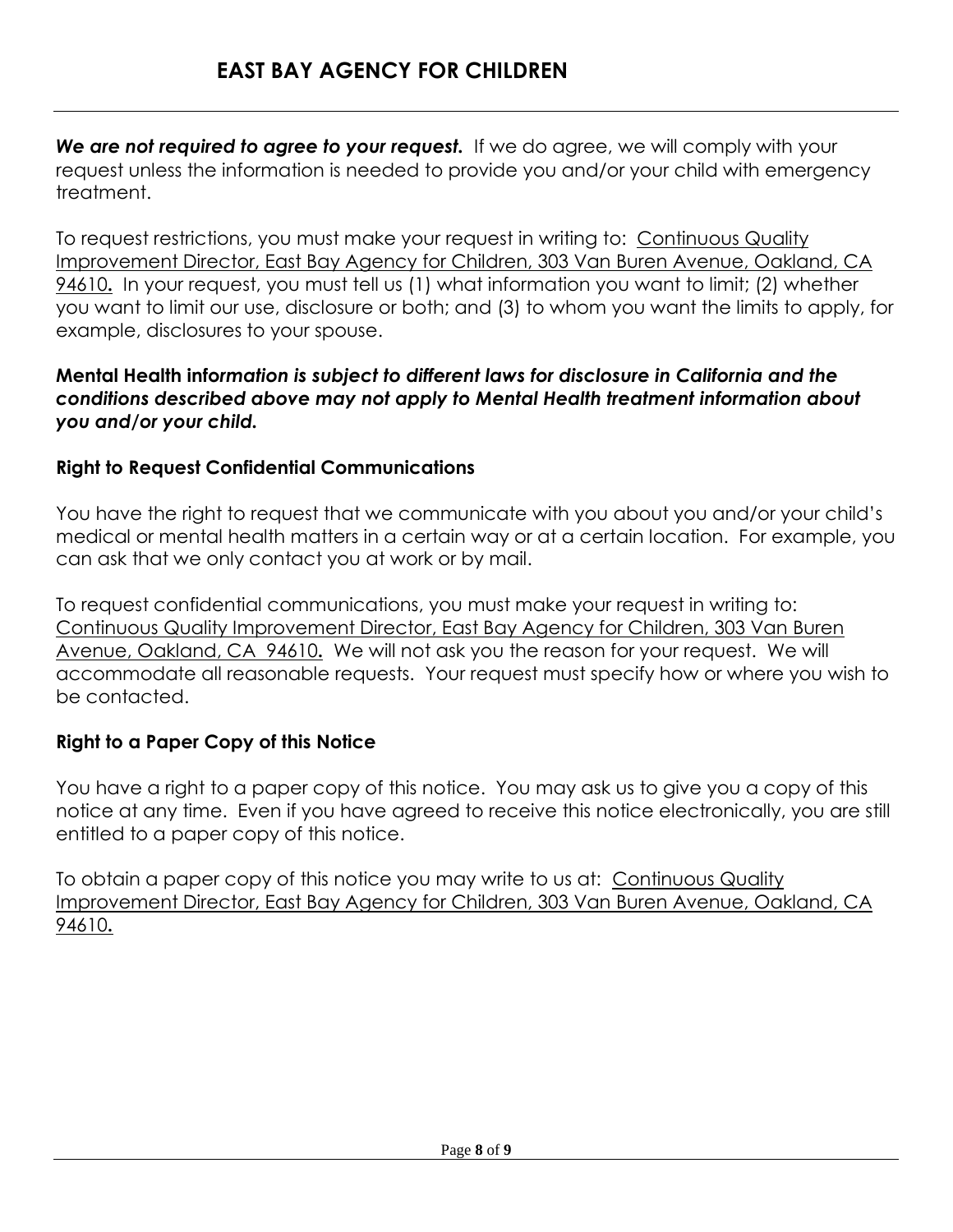We are not required to agree to your request. If we do agree, we will comply with your request unless the information is needed to provide you and/or your child with emergency treatment.

To request restrictions, you must make your request in writing to: Continuous Quality Improvement Director, East Bay Agency for Children, 303 Van Buren Avenue, Oakland, CA 94610**.** In your request, you must tell us (1) what information you want to limit; (2) whether you want to limit our use, disclosure or both; and (3) to whom you want the limits to apply, for example, disclosures to your spouse.

#### **Mental Health info***rmation is subject to different laws for disclosure in California and the conditions described above may not apply to Mental Health treatment information about you and/or your child.*

## **Right to Request Confidential Communications**

You have the right to request that we communicate with you about you and/or your child's medical or mental health matters in a certain way or at a certain location. For example, you can ask that we only contact you at work or by mail.

To request confidential communications, you must make your request in writing to: Continuous Quality Improvement Director, East Bay Agency for Children, 303 Van Buren Avenue, Oakland, CA 94610**.** We will not ask you the reason for your request. We will accommodate all reasonable requests. Your request must specify how or where you wish to be contacted.

## **Right to a Paper Copy of this Notice**

You have a right to a paper copy of this notice. You may ask us to give you a copy of this notice at any time. Even if you have agreed to receive this notice electronically, you are still entitled to a paper copy of this notice.

To obtain a paper copy of this notice you may write to us at: Continuous Quality Improvement Director, East Bay Agency for Children, 303 Van Buren Avenue, Oakland, CA 94610**.**